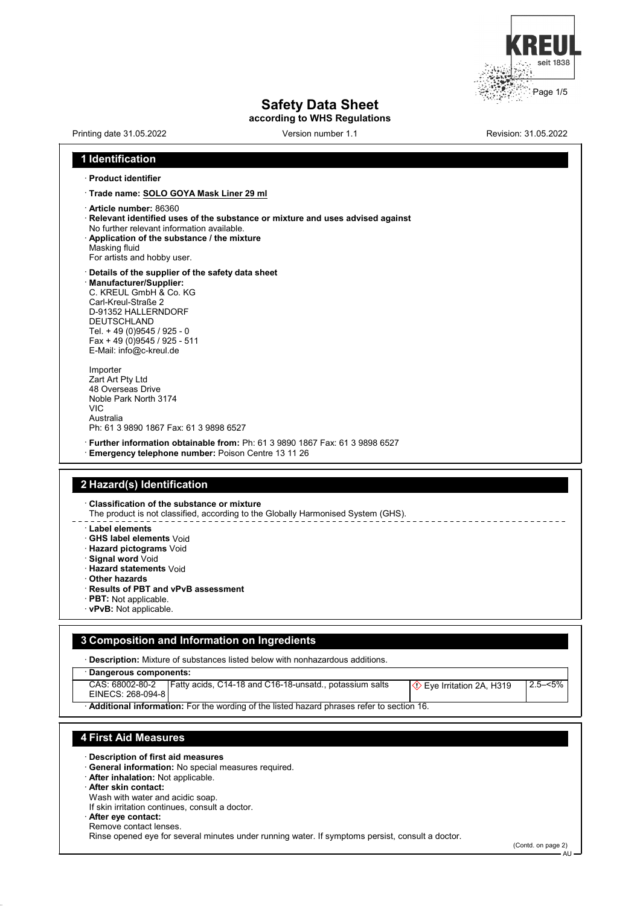

# **Safety Data Sheet**

**according to WHS Regulations**

| Printing date 31.05.2022                                                                                                                                                                                                                                                                                                                     | Version number 1.1                                                                               | Revision: 31.05.2022                   |
|----------------------------------------------------------------------------------------------------------------------------------------------------------------------------------------------------------------------------------------------------------------------------------------------------------------------------------------------|--------------------------------------------------------------------------------------------------|----------------------------------------|
| 1 Identification                                                                                                                                                                                                                                                                                                                             |                                                                                                  |                                        |
| · Product identifier                                                                                                                                                                                                                                                                                                                         |                                                                                                  |                                        |
| · Trade name: SOLO GOYA Mask Liner 29 ml                                                                                                                                                                                                                                                                                                     |                                                                                                  |                                        |
| · Article number: 86360<br>No further relevant information available.<br>Application of the substance / the mixture<br>Masking fluid<br>For artists and hobby user.                                                                                                                                                                          | Relevant identified uses of the substance or mixture and uses advised against                    |                                        |
| Details of the supplier of the safety data sheet<br>· Manufacturer/Supplier:<br>C. KREUL GmbH & Co. KG<br>Carl-Kreul-Straße 2<br>D-91352 HALLERNDORF<br><b>DEUTSCHLAND</b><br>Tel. + 49 (0) 9545 / 925 - 0<br>Fax + 49 (0) 9545 / 925 - 511<br>E-Mail: info@c-kreul.de                                                                       |                                                                                                  |                                        |
| Importer<br>Zart Art Pty Ltd<br>48 Overseas Drive<br>Noble Park North 3174<br><b>VIC</b><br>Australia<br>Ph: 61 3 9890 1867 Fax: 61 3 9898 6527                                                                                                                                                                                              |                                                                                                  |                                        |
| <b>Emergency telephone number:</b> Poison Centre 13 11 26                                                                                                                                                                                                                                                                                    | · Further information obtainable from: Ph: 61 3 9890 1867 Fax: 61 3 9898 6527                    |                                        |
| 2 Hazard(s) Identification<br><b>Classification of the substance or mixture</b><br>Label elements<br><b>GHS label elements Void</b><br>· Hazard pictograms Void<br>· Signal word Void<br>· Hazard statements Void<br>$\cdot$ Other hazards<br>· Results of PBT and vPvB assessment<br><b>PBT:</b> Not applicable.<br>· vPvB: Not applicable. | The product is not classified, according to the Globally Harmonised System (GHS).                |                                        |
| 3 Composition and Information on Ingredients                                                                                                                                                                                                                                                                                                 |                                                                                                  |                                        |
|                                                                                                                                                                                                                                                                                                                                              | · Description: Mixture of substances listed below with nonhazardous additions.                   |                                        |
| Dangerous components:                                                                                                                                                                                                                                                                                                                        |                                                                                                  |                                        |
| CAS: 68002-80-2<br>EINECS: 268-094-8                                                                                                                                                                                                                                                                                                         | Fatty acids, C14-18 and C16-18-unsatd., potassium salts                                          | $2.5 - 5\%$<br>Eye Irritation 2A, H319 |
|                                                                                                                                                                                                                                                                                                                                              | Additional information: For the wording of the listed hazard phrases refer to section 16.        |                                        |
| <b>4 First Aid Measures</b><br>Description of first aid measures<br>General information: No special measures required.<br>· After inhalation: Not applicable.<br><b>After skin contact:</b><br>Wash with water and acidic soap.<br>If skin irritation continues, consult a doctor.<br>After eye contact:<br>Remove contact lenses.           |                                                                                                  |                                        |
|                                                                                                                                                                                                                                                                                                                                              | Rinse opened eye for several minutes under running water. If symptoms persist, consult a doctor. | (Contd. on page 2)                     |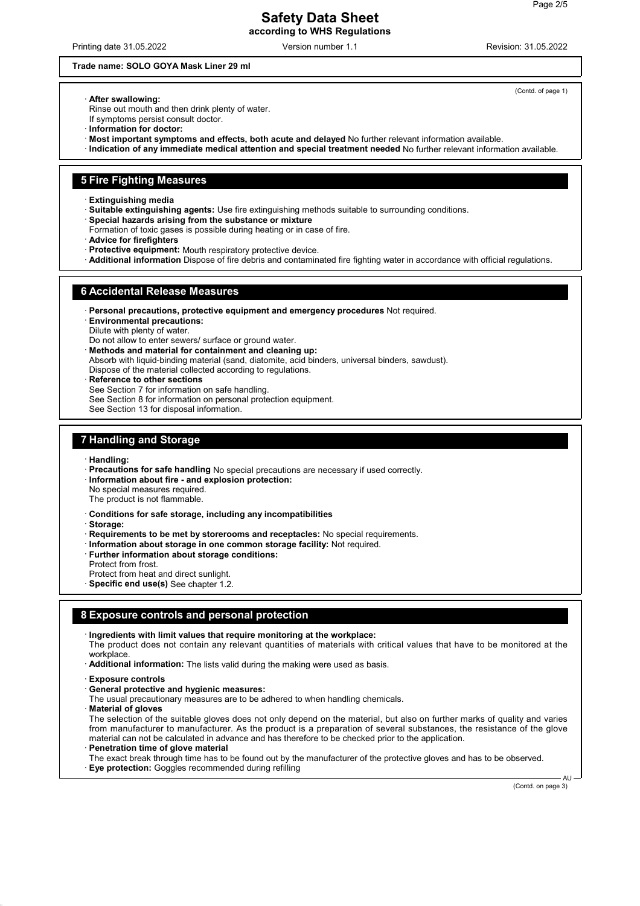#### **Safety Data Sheet according to WHS Regulations**

Printing date 31.05.2022 **Version number 1.1** Printing date 31.05.2022 **Revision: 31.05.2022** 

#### **Trade name: SOLO GOYA Mask Liner 29 ml**

(Contd. of page 1)

· **After swallowing:**

Rinse out mouth and then drink plenty of water. If symptoms persist consult doctor.

- · **Information for doctor:**
- · **Most important symptoms and effects, both acute and delayed** No further relevant information available.
- · **Indication of any immediate medical attention and special treatment needed** No further relevant information available.

#### **5 Fire Fighting Measures**

- · **Extinguishing media**
- · **Suitable extinguishing agents:** Use fire extinguishing methods suitable to surrounding conditions.
- · **Special hazards arising from the substance or mixture**
- Formation of toxic gases is possible during heating or in case of fire.
- · **Advice for firefighters**
- · **Protective equipment:** Mouth respiratory protective device.
- · **Additional information** Dispose of fire debris and contaminated fire fighting water in accordance with official regulations.

#### **6 Accidental Release Measures**

- · **Personal precautions, protective equipment and emergency procedures** Not required.
- · **Environmental precautions:**
- Dilute with plenty of water.
- Do not allow to enter sewers/ surface or ground water.
- · **Methods and material for containment and cleaning up:**
- Absorb with liquid-binding material (sand, diatomite, acid binders, universal binders, sawdust).
- Dispose of the material collected according to regulations.
- **Reference to other sections**
- See Section 7 for information on safe handling.
- See Section 8 for information on personal protection equipment.
- See Section 13 for disposal information.

### **7 Handling and Storage**

- · **Handling:**
- · **Precautions for safe handling** No special precautions are necessary if used correctly.
- · **Information about fire and explosion protection:**
- No special measures required.
- The product is not flammable.
- · **Conditions for safe storage, including any incompatibilities**
- · **Storage:**
- · **Requirements to be met by storerooms and receptacles:** No special requirements.
- · **Information about storage in one common storage facility:** Not required.
- · **Further information about storage conditions:**
- Protect from frost.
- Protect from heat and direct sunlight.
- · **Specific end use(s)** See chapter 1.2.

#### **8 Exposure controls and personal protection**

· **Ingredients with limit values that require monitoring at the workplace:**

The product does not contain any relevant quantities of materials with critical values that have to be monitored at the workplace.

- · **Additional information:** The lists valid during the making were used as basis.
- · **Exposure controls**
- · **General protective and hygienic measures:**
- The usual precautionary measures are to be adhered to when handling chemicals.
- · **Material of gloves**

The selection of the suitable gloves does not only depend on the material, but also on further marks of quality and varies from manufacturer to manufacturer. As the product is a preparation of several substances, the resistance of the glove material can not be calculated in advance and has therefore to be checked prior to the application.

· **Penetration time of glove material**

The exact break through time has to be found out by the manufacturer of the protective gloves and has to be observed. · **Eye protection:** Goggles recommended during refilling

(Contd. on page 3)

 $\Delta$ U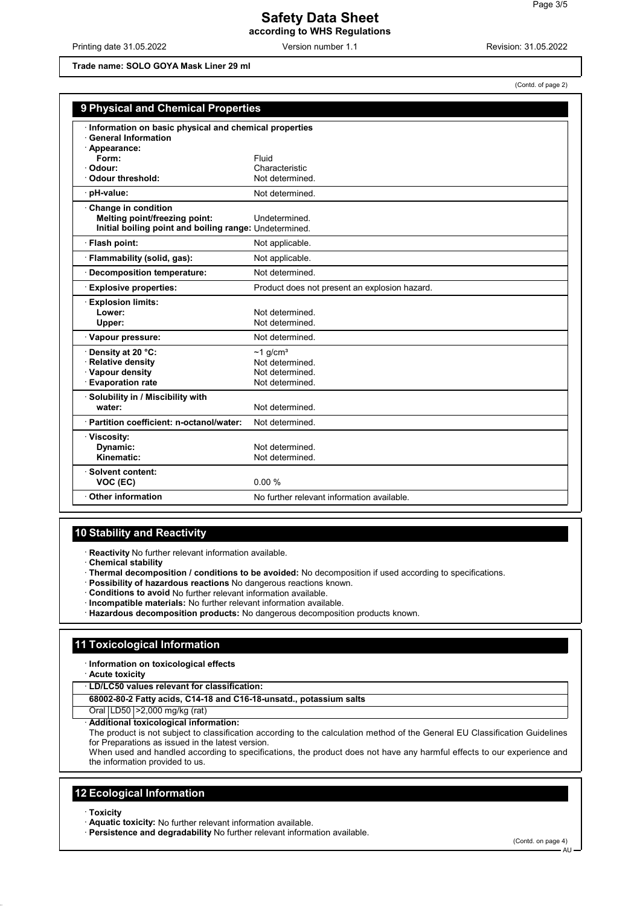Printing date 31.05.2022 Version number 1.1 Revision: 31.05.2022

**Trade name: SOLO GOYA Mask Liner 29 ml**

(Contd. of page 2)

| 9 Physical and Chemical Properties                                             |                                               |  |
|--------------------------------------------------------------------------------|-----------------------------------------------|--|
| Information on basic physical and chemical properties<br>· General Information |                                               |  |
| · Appearance:<br>Form:                                                         | Fluid                                         |  |
| · Odour:                                                                       | Characteristic                                |  |
| · Odour threshold:                                                             | Not determined.                               |  |
| · pH-value:                                                                    | Not determined.                               |  |
| Change in condition                                                            |                                               |  |
| Melting point/freezing point:                                                  | Undetermined                                  |  |
| Initial boiling point and boiling range: Undetermined.                         |                                               |  |
| · Flash point:                                                                 | Not applicable.                               |  |
| · Flammability (solid, gas):                                                   | Not applicable.                               |  |
| <b>Decomposition temperature:</b>                                              | Not determined.                               |  |
| <b>Explosive properties:</b>                                                   | Product does not present an explosion hazard. |  |
| <b>Explosion limits:</b>                                                       |                                               |  |
| Lower:                                                                         | Not determined.                               |  |
| Upper:                                                                         | Not determined.                               |  |
| Vapour pressure:                                                               | Not determined                                |  |
| Density at 20 °C:                                                              | $\sim$ 1 g/cm <sup>3</sup>                    |  |
| · Relative density                                                             | Not determined.                               |  |
| · Vapour density                                                               | Not determined.                               |  |
| <b>Evaporation rate</b>                                                        | Not determined.                               |  |
| · Solubility in / Miscibility with                                             |                                               |  |
| water:                                                                         | Not determined.                               |  |
| · Partition coefficient: n-octanol/water:                                      | Not determined.                               |  |
| · Viscosity:                                                                   |                                               |  |
| Dynamic:                                                                       | Not determined                                |  |
| Kinematic:                                                                     | Not determined.                               |  |
| · Solvent content:                                                             |                                               |  |
| VOC (EC)                                                                       | 0.00%                                         |  |
| Other information                                                              | No further relevant information available.    |  |

### **10 Stability and Reactivity**

· **Reactivity** No further relevant information available.

- · **Chemical stability**
- · **Thermal decomposition / conditions to be avoided:** No decomposition if used according to specifications.
- · **Possibility of hazardous reactions** No dangerous reactions known.
- · **Conditions to avoid** No further relevant information available.
- · **Incompatible materials:** No further relevant information available.
- · **Hazardous decomposition products:** No dangerous decomposition products known.

#### **11 Toxicological Information**

· **Information on toxicological effects**

- · **Acute toxicity**
- · **LD/LC50 values relevant for classification:**

**68002-80-2 Fatty acids, C14-18 and C16-18-unsatd., potassium salts**

Oral LD50 >2,000 mg/kg (rat)

· **Additional toxicological information:**

The product is not subject to classification according to the calculation method of the General EU Classification Guidelines for Preparations as issued in the latest version.

When used and handled according to specifications, the product does not have any harmful effects to our experience and the information provided to us.

#### **12 Ecological Information**

- · **Toxicity**
- · **Aquatic toxicity:** No further relevant information available.
- · **Persistence and degradability** No further relevant information available.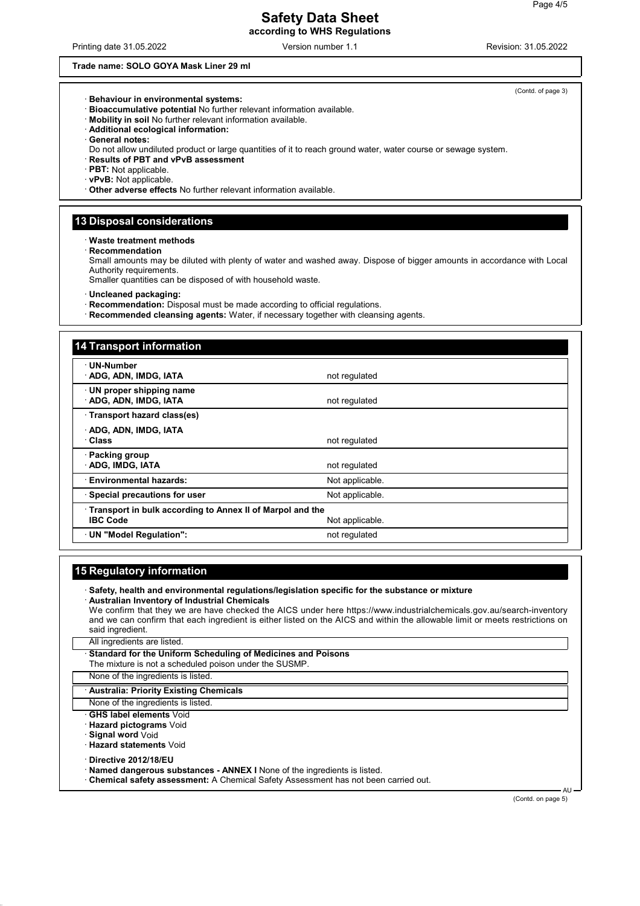#### **Safety Data Sheet according to WHS Regulations**

#### **Trade name: SOLO GOYA Mask Liner 29 ml**

- · **Behaviour in environmental systems:**
- · **Bioaccumulative potential** No further relevant information available.
- · **Mobility in soil** No further relevant information available.
- · **Additional ecological information:**
- · **General notes:**
- Do not allow undiluted product or large quantities of it to reach ground water, water course or sewage system.
- · **Results of PBT and vPvB assessment**
- · **PBT:** Not applicable.
- · **vPvB:** Not applicable.
- · **Other adverse effects** No further relevant information available.

#### **13 Disposal considerations**

· **Waste treatment methods**

· **Recommendation**

Small amounts may be diluted with plenty of water and washed away. Dispose of bigger amounts in accordance with Local Authority requirements.

Smaller quantities can be disposed of with household waste.

· **Uncleaned packaging:**

- · **Recommendation:** Disposal must be made according to official regulations.
- · **Recommended cleansing agents:** Water, if necessary together with cleansing agents.

| <b>14 Transport information</b>                                              |                 |
|------------------------------------------------------------------------------|-----------------|
| · UN-Number<br>ADG, ADN, IMDG, IATA                                          | not regulated   |
| · UN proper shipping name<br>ADG, ADN, IMDG, IATA                            | not regulated   |
| · Transport hazard class(es)                                                 |                 |
| ADG, ADN, IMDG, IATA<br>∴Class                                               | not regulated   |
| · Packing group<br>· ADG, IMDG, IATA                                         | not regulated   |
| · Environmental hazards:                                                     | Not applicable. |
| · Special precautions for user                                               | Not applicable. |
| Transport in bulk according to Annex II of Marpol and the<br><b>IBC Code</b> | Not applicable. |
| UN "Model Regulation":                                                       | not regulated   |

#### **15 Regulatory information**

| Safety, health and environmental regulations/legislation specific for the substance or mixture |  |
|------------------------------------------------------------------------------------------------|--|
| Australian Inventory of Industrial Chemicals \,                                                |  |

We confirm that they we are have checked the AICS under here https://www.industrialchemicals.gov.au/search-inventory and we can confirm that each ingredient is either listed on the AICS and within the allowable limit or meets restrictions on said ingredient.

All ingredients are listed.

| Standard for the Uniform Scheduling of Medicines and Poisons |  |
|--------------------------------------------------------------|--|
| The mixture is not a scheduled poison under the SUSMP.       |  |
|                                                              |  |

#### None of the ingredients is listed.

#### · **Australia: Priority Existing Chemicals**

None of the ingredients is listed.

- · **GHS label elements** Void
- · **Hazard pictograms** Void
- · **Signal word** Void
- · **Hazard statements** Void

· **Directive 2012/18/EU**

- · **Named dangerous substances ANNEX I** None of the ingredients is listed.
- · **Chemical safety assessment:** A Chemical Safety Assessment has not been carried out.

(Contd. on page 5)

**AU** 

(Contd. of page 3)